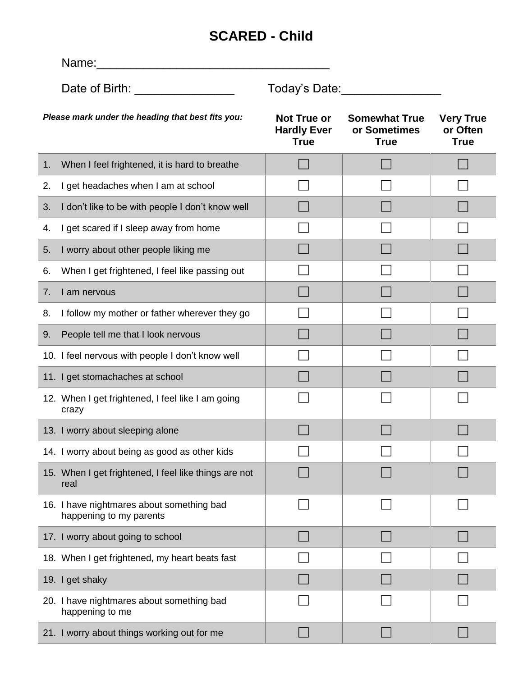## **SCARED - Child**

|                                                   | Name:                                                                |                                                  |                                                     |                                             |  |  |
|---------------------------------------------------|----------------------------------------------------------------------|--------------------------------------------------|-----------------------------------------------------|---------------------------------------------|--|--|
|                                                   | Date of Birth: ___________________                                   | Today's Date:                                    |                                                     |                                             |  |  |
| Please mark under the heading that best fits you: |                                                                      | Not True or<br><b>Hardly Ever</b><br><b>True</b> | <b>Somewhat True</b><br>or Sometimes<br><b>True</b> | <b>Very True</b><br>or Often<br><b>True</b> |  |  |
| 1.                                                | When I feel frightened, it is hard to breathe                        |                                                  |                                                     |                                             |  |  |
| 2.                                                | I get headaches when I am at school                                  |                                                  |                                                     |                                             |  |  |
| 3.                                                | I don't like to be with people I don't know well                     |                                                  |                                                     |                                             |  |  |
| 4.                                                | I get scared if I sleep away from home                               |                                                  |                                                     |                                             |  |  |
| 5.                                                | I worry about other people liking me                                 |                                                  |                                                     |                                             |  |  |
| 6.                                                | When I get frightened, I feel like passing out                       |                                                  |                                                     |                                             |  |  |
| 7.                                                | I am nervous                                                         |                                                  |                                                     |                                             |  |  |
| 8.                                                | I follow my mother or father wherever they go                        |                                                  |                                                     |                                             |  |  |
| 9.                                                | People tell me that I look nervous                                   |                                                  |                                                     |                                             |  |  |
|                                                   | 10. I feel nervous with people I don't know well                     |                                                  |                                                     |                                             |  |  |
|                                                   | 11. I get stomachaches at school                                     |                                                  |                                                     |                                             |  |  |
|                                                   | 12. When I get frightened, I feel like I am going<br>crazy           |                                                  |                                                     |                                             |  |  |
|                                                   | 13. I worry about sleeping alone                                     |                                                  |                                                     |                                             |  |  |
|                                                   | 14. I worry about being as good as other kids                        |                                                  |                                                     |                                             |  |  |
|                                                   | 15. When I get frightened, I feel like things are not<br>real        |                                                  |                                                     |                                             |  |  |
|                                                   | 16. I have nightmares about something bad<br>happening to my parents |                                                  |                                                     |                                             |  |  |
|                                                   | 17. I worry about going to school                                    |                                                  |                                                     |                                             |  |  |
|                                                   | 18. When I get frightened, my heart beats fast                       |                                                  |                                                     |                                             |  |  |
|                                                   | 19. I get shaky                                                      |                                                  |                                                     |                                             |  |  |
|                                                   | 20. I have nightmares about something bad<br>happening to me         |                                                  |                                                     |                                             |  |  |
|                                                   | 21. I worry about things working out for me                          |                                                  |                                                     |                                             |  |  |